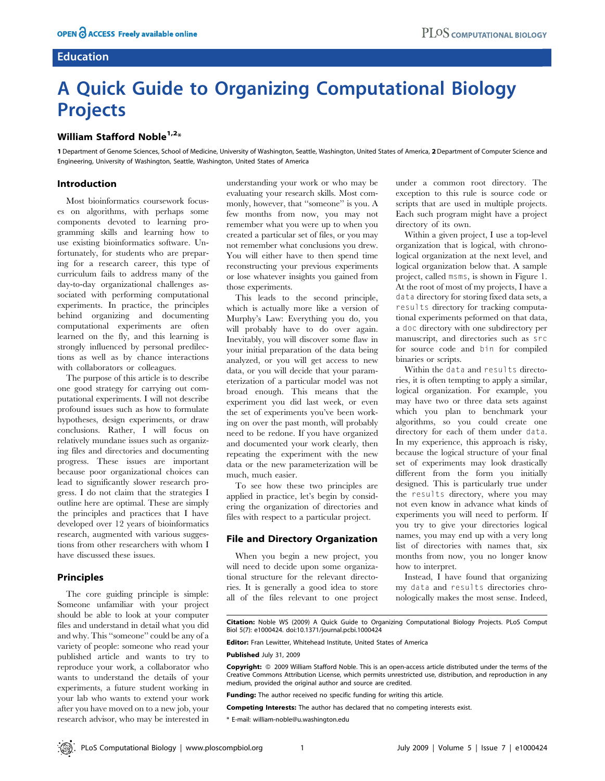# **Education**

# A Quick Guide to Organizing Computational Biology Projects

## William Stafford Noble<sup>1,2\*</sup>

1 Department of Genome Sciences, School of Medicine, University of Washington, Seattle, Washington, United States of America, 2Department of Computer Science and Engineering, University of Washington, Seattle, Washington, United States of America

#### Introduction

Most bioinformatics coursework focuses on algorithms, with perhaps some components devoted to learning programming skills and learning how to use existing bioinformatics software. Unfortunately, for students who are preparing for a research career, this type of curriculum fails to address many of the day-to-day organizational challenges associated with performing computational experiments. In practice, the principles behind organizing and documenting computational experiments are often learned on the fly, and this learning is strongly influenced by personal predilections as well as by chance interactions with collaborators or colleagues.

The purpose of this article is to describe one good strategy for carrying out computational experiments. I will not describe profound issues such as how to formulate hypotheses, design experiments, or draw conclusions. Rather, I will focus on relatively mundane issues such as organizing files and directories and documenting progress. These issues are important because poor organizational choices can lead to significantly slower research progress. I do not claim that the strategies I outline here are optimal. These are simply the principles and practices that I have developed over 12 years of bioinformatics research, augmented with various suggestions from other researchers with whom I have discussed these issues.

## Principles

The core guiding principle is simple: Someone unfamiliar with your project should be able to look at your computer files and understand in detail what you did and why. This ''someone'' could be any of a variety of people: someone who read your published article and wants to try to reproduce your work, a collaborator who wants to understand the details of your experiments, a future student working in your lab who wants to extend your work after you have moved on to a new job, your research advisor, who may be interested in understanding your work or who may be evaluating your research skills. Most commonly, however, that ''someone'' is you. A few months from now, you may not remember what you were up to when you created a particular set of files, or you may not remember what conclusions you drew. You will either have to then spend time reconstructing your previous experiments or lose whatever insights you gained from those experiments.

This leads to the second principle, which is actually more like a version of Murphy's Law: Everything you do, you will probably have to do over again. Inevitably, you will discover some flaw in your initial preparation of the data being analyzed, or you will get access to new data, or you will decide that your parameterization of a particular model was not broad enough. This means that the experiment you did last week, or even the set of experiments you've been working on over the past month, will probably need to be redone. If you have organized and documented your work clearly, then repeating the experiment with the new data or the new parameterization will be much, much easier.

To see how these two principles are applied in practice, let's begin by considering the organization of directories and files with respect to a particular project.

#### File and Directory Organization

When you begin a new project, you will need to decide upon some organizational structure for the relevant directories. It is generally a good idea to store all of the files relevant to one project under a common root directory. The exception to this rule is source code or scripts that are used in multiple projects. Each such program might have a project directory of its own.

Within a given project, I use a top-level organization that is logical, with chronological organization at the next level, and logical organization below that. A sample project, called msms, is shown in Figure 1. At the root of most of my projects, I have a data directory for storing fixed data sets, a results directory for tracking computational experiments peformed on that data, a doc directory with one subdirectory per manuscript, and directories such as src for source code and bin for compiled binaries or scripts.

Within the data and results directories, it is often tempting to apply a similar, logical organization. For example, you may have two or three data sets against which you plan to benchmark your algorithms, so you could create one directory for each of them under data. In my experience, this approach is risky, because the logical structure of your final set of experiments may look drastically different from the form you initially designed. This is particularly true under the results directory, where you may not even know in advance what kinds of experiments you will need to perform. If you try to give your directories logical names, you may end up with a very long list of directories with names that, six months from now, you no longer know how to interpret.

Instead, I have found that organizing my data and results directories chronologically makes the most sense. Indeed,

Citation: Noble WS (2009) A Quick Guide to Organizing Computational Biology Projects. PLoS Comput Biol 5(7): e1000424. doi:10.1371/journal.pcbi.1000424

Editor: Fran Lewitter, Whitehead Institute, United States of America

Published July 31, 2009

Copyright:  $\circ$  2009 William Stafford Noble. This is an open-access article distributed under the terms of the Creative Commons Attribution License, which permits unrestricted use, distribution, and reproduction in any medium, provided the original author and source are credited.

Funding: The author received no specific funding for writing this article.

Competing Interests: The author has declared that no competing interests exist.

\* E-mail: william-noble@u.washington.edu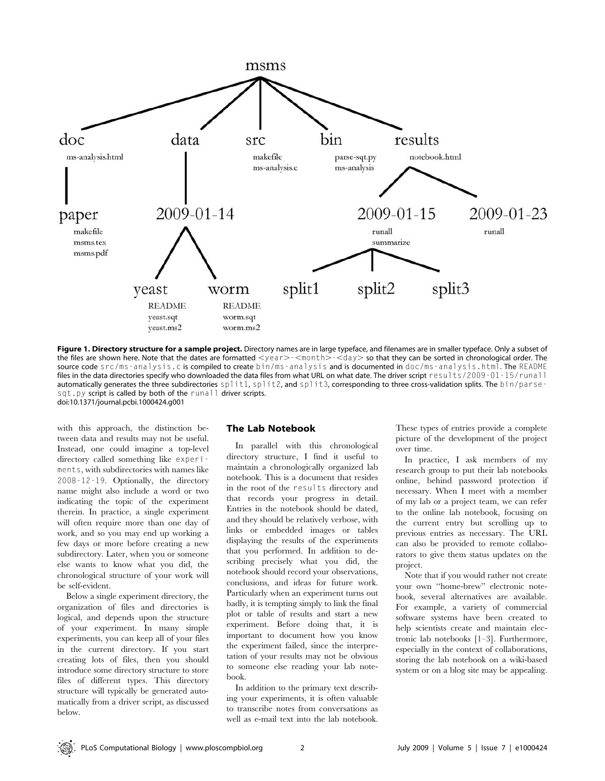

Figure 1. Directory structure for a sample project. Directory names are in large typeface, and filenames are in smaller typeface. Only a subset of the files are shown here. Note that the dates are formatted <year>-<month>-<day> so that they can be sorted in chronological order. The source code src/ms-analysis.c is compiled to create bin/ms-analysis and is documented in doc/ms-analysis.html. The README files in the data directories specify who downloaded the data files from what URL on what date. The driver script results/2009-01-15/runall automatically generates the three subdirectories split1, split2, and split3, corresponding to three cross-validation splits. The bin/parsesqt.py script is called by both of the runall driver scripts. doi:10.1371/journal.pcbi.1000424.g001

with this approach, the distinction between data and results may not be useful. Instead, one could imagine a top-level directory called something like experiments, with subdirectories with names like 2008-12-19. Optionally, the directory name might also include a word or two indicating the topic of the experiment therein. In practice, a single experiment will often require more than one day of work, and so you may end up working a few days or more before creating a new subdirectory. Later, when you or someone else wants to know what you did, the chronological structure of your work will be self-evident.

Below a single experiment directory, the organization of files and directories is logical, and depends upon the structure of your experiment. In many simple experiments, you can keep all of your files in the current directory. If you start creating lots of files, then you should introduce some directory structure to store files of different types. This directory structure will typically be generated automatically from a driver script, as discussed below.

#### The Lab Notebook

In parallel with this chronological directory structure, I find it useful to maintain a chronologically organized lab notebook. This is a document that resides in the root of the results directory and that records your progress in detail. Entries in the notebook should be dated, and they should be relatively verbose, with links or embedded images or tables displaying the results of the experiments that you performed. In addition to describing precisely what you did, the notebook should record your observations, conclusions, and ideas for future work. Particularly when an experiment turns out badly, it is tempting simply to link the final plot or table of results and start a new experiment. Before doing that, it is important to document how you know the experiment failed, since the interpretation of your results may not be obvious to someone else reading your lab notebook.

In addition to the primary text describing your experiments, it is often valuable to transcribe notes from conversations as well as e-mail text into the lab notebook. These types of entries provide a complete picture of the development of the project over time.

In practice, I ask members of my research group to put their lab notebooks online, behind password protection if necessary. When I meet with a member of my lab or a project team, we can refer to the online lab notebook, focusing on the current entry but scrolling up to previous entries as necessary. The URL can also be provided to remote collaborators to give them status updates on the project.

Note that if you would rather not create your own ''home-brew'' electronic notebook, several alternatives are available. For example, a variety of commercial software systems have been created to help scientists create and maintain electronic lab notebooks [1–3]. Furthermore, especially in the context of collaborations, storing the lab notebook on a wiki-based system or on a blog site may be appealing.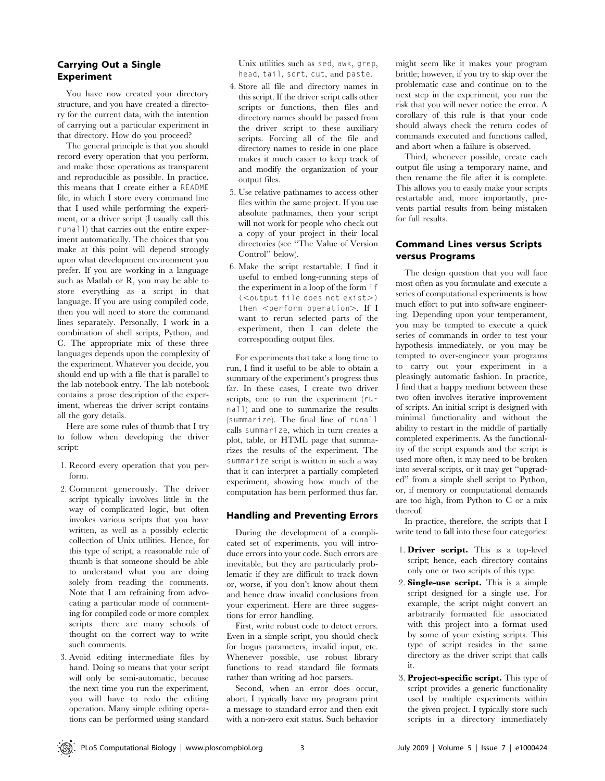## Carrying Out a Single Experiment

You have now created your directory structure, and you have created a directory for the current data, with the intention of carrying out a particular experiment in that directory. How do you proceed?

The general principle is that you should record every operation that you perform, and make those operations as transparent and reproducible as possible. In practice, this means that I create either a README file, in which I store every command line that I used while performing the experiment, or a driver script (I usually call this runall) that carries out the entire experiment automatically. The choices that you make at this point will depend strongly upon what development environment you prefer. If you are working in a language such as Matlab or R, you may be able to store everything as a script in that language. If you are using compiled code, then you will need to store the command lines separately. Personally, I work in a combination of shell scripts, Python, and C. The appropriate mix of these three languages depends upon the complexity of the experiment. Whatever you decide, you should end up with a file that is parallel to the lab notebook entry. The lab notebook contains a prose description of the experiment, whereas the driver script contains all the gory details.

Here are some rules of thumb that I try to follow when developing the driver script:

- 1. Record every operation that you perform.
- 2. Comment generously. The driver script typically involves little in the way of complicated logic, but often invokes various scripts that you have written, as well as a possibly eclectic collection of Unix utilities. Hence, for this type of script, a reasonable rule of thumb is that someone should be able to understand what you are doing solely from reading the comments. Note that I am refraining from advocating a particular mode of commenting for compiled code or more complex scripts—there are many schools of thought on the correct way to write such comments.
- 3. Avoid editing intermediate files by hand. Doing so means that your script will only be semi-automatic, because the next time you run the experiment, you will have to redo the editing operation. Many simple editing operations can be performed using standard

Unix utilities such as sed, awk, grep, head, tail, sort, cut, and paste.

- 4. Store all file and directory names in this script. If the driver script calls other scripts or functions, then files and directory names should be passed from the driver script to these auxiliary scripts. Forcing all of the file and directory names to reside in one place makes it much easier to keep track of and modify the organization of your output files.
- 5. Use relative pathnames to access other files within the same project. If you use absolute pathnames, then your script will not work for people who check out a copy of your project in their local directories (see ''The Value of Version Control'' below).
- 6. Make the script restartable. I find it useful to embed long-running steps of the experiment in a loop of the form if  $(<$ output file does not exist $>$ ) then  $\leq$ perform operation $>$ . If I want to rerun selected parts of the experiment, then I can delete the corresponding output files.

For experiments that take a long time to run, I find it useful to be able to obtain a summary of the experiment's progress thus far. In these cases, I create two driver scripts, one to run the experiment (runall) and one to summarize the results (summarize). The final line of runall calls summarize, which in turn creates a plot, table, or HTML page that summarizes the results of the experiment. The summarize script is written in such a way that it can interpret a partially completed experiment, showing how much of the computation has been performed thus far.

## Handling and Preventing Errors

During the development of a complicated set of experiments, you will introduce errors into your code. Such errors are inevitable, but they are particularly problematic if they are difficult to track down or, worse, if you don't know about them and hence draw invalid conclusions from your experiment. Here are three suggestions for error handling.

First, write robust code to detect errors. Even in a simple script, you should check for bogus parameters, invalid input, etc. Whenever possible, use robust library functions to read standard file formats rather than writing ad hoc parsers.

Second, when an error does occur, abort. I typically have my program print a message to standard error and then exit with a non-zero exit status. Such behavior

might seem like it makes your program brittle; however, if you try to skip over the problematic case and continue on to the next step in the experiment, you run the risk that you will never notice the error. A corollary of this rule is that your code should always check the return codes of commands executed and functions called, and abort when a failure is observed.

Third, whenever possible, create each output file using a temporary name, and then rename the file after it is complete. This allows you to easily make your scripts restartable and, more importantly, prevents partial results from being mistaken for full results.

## Command Lines versus Scripts versus Programs

The design question that you will face most often as you formulate and execute a series of computational experiments is how much effort to put into software engineering. Depending upon your temperament, you may be tempted to execute a quick series of commands in order to test your hypothesis immediately, or you may be tempted to over-engineer your programs to carry out your experiment in a pleasingly automatic fashion. In practice, I find that a happy medium between these two often involves iterative improvement of scripts. An initial script is designed with minimal functionality and without the ability to restart in the middle of partially completed experiments. As the functionality of the script expands and the script is used more often, it may need to be broken into several scripts, or it may get ''upgraded'' from a simple shell script to Python, or, if memory or computational demands are too high, from Python to C or a mix thereof.

In practice, therefore, the scripts that I write tend to fall into these four categories:

- 1. Driver script. This is a top-level script; hence, each directory contains only one or two scripts of this type.
- 2. Single-use script. This is a simple script designed for a single use. For example, the script might convert an arbitrarily formatted file associated with this project into a format used by some of your existing scripts. This type of script resides in the same directory as the driver script that calls it.
- 3. Project-specific script. This type of script provides a generic functionality used by multiple experiments within the given project. I typically store such scripts in a directory immediately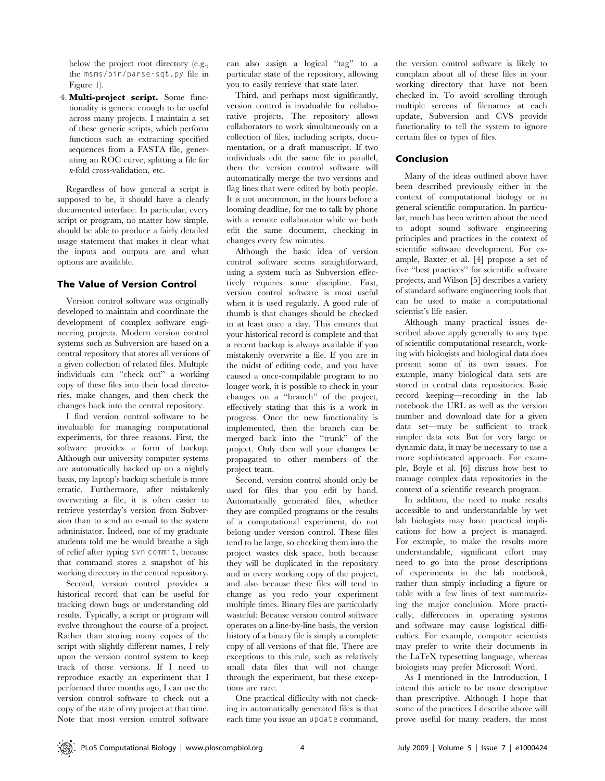below the project root directory (e.g., the msms/bin/parse-sqt.py file in Figure 1).

4. Multi-project script. Some functionality is generic enough to be useful across many projects. I maintain a set of these generic scripts, which perform functions such as extracting specified sequences from a FASTA file, generating an ROC curve, splitting a file for n-fold cross-validation, etc.

Regardless of how general a script is supposed to be, it should have a clearly documented interface. In particular, every script or program, no matter how simple, should be able to produce a fairly detailed usage statement that makes it clear what the inputs and outputs are and what options are available.

## The Value of Version Control

Version control software was originally developed to maintain and coordinate the development of complex software engineering projects. Modern version control systems such as Subversion are based on a central repository that stores all versions of a given collection of related files. Multiple individuals can ''check out'' a working copy of these files into their local directories, make changes, and then check the changes back into the central repository.

I find version control software to be invaluable for managing computational experiments, for three reasons. First, the software provides a form of backup. Although our university computer systems are automatically backed up on a nightly basis, my laptop's backup schedule is more erratic. Furthermore, after mistakenly overwriting a file, it is often easier to retrieve yesterday's version from Subversion than to send an e-mail to the system administator. Indeed, one of my graduate students told me he would breathe a sigh of relief after typing svn commit, because that command stores a snapshot of his working directory in the central repository.

Second, version control provides a historical record that can be useful for tracking down bugs or understanding old results. Typically, a script or program will evolve throughout the course of a project. Rather than storing many copies of the script with slightly different names, I rely upon the version control system to keep track of those versions. If I need to reproduce exactly an experiment that I performed three months ago, I can use the version control software to check out a copy of the state of my project at that time. Note that most version control software can also assign a logical ''tag'' to a particular state of the repository, allowing you to easily retrieve that state later.

Third, and perhaps most significantly, version control is invaluable for collaborative projects. The repository allows collaborators to work simultaneously on a collection of files, including scripts, documentation, or a draft manuscript. If two individuals edit the same file in parallel, then the version control software will automatically merge the two versions and flag lines that were edited by both people. It is not uncommon, in the hours before a looming deadline, for me to talk by phone with a remote collaborator while we both edit the same document, checking in changes every few minutes.

Although the basic idea of version control software seems straightforward, using a system such as Subversion effectively requires some discipline. First, version control software is most useful when it is used regularly. A good rule of thumb is that changes should be checked in at least once a day. This ensures that your historical record is complete and that a recent backup is always available if you mistakenly overwrite a file. If you are in the midst of editing code, and you have caused a once-compilable program to no longer work, it is possible to check in your changes on a ''branch'' of the project, effectively stating that this is a work in progress. Once the new functionality is implemented, then the branch can be merged back into the ''trunk'' of the project. Only then will your changes be propagated to other members of the project team.

Second, version control should only be used for files that you edit by hand. Automatically generated files, whether they are compiled programs or the results of a computational experiment, do not belong under version control. These files tend to be large, so checking them into the project wastes disk space, both because they will be duplicated in the repository and in every working copy of the project, and also because these files will tend to change as you redo your experiment multiple times. Binary files are particularly wasteful: Because version control software operates on a line-by-line basis, the version history of a binary file is simply a complete copy of all versions of that file. There are exceptions to this rule, such as relatively small data files that will not change through the experiment, but these exceptions are rare.

One practical difficulty with not checking in automatically generated files is that each time you issue an update command,

the version control software is likely to complain about all of these files in your working directory that have not been checked in. To avoid scrolling through multiple screens of filenames at each update, Subversion and CVS provide functionality to tell the system to ignore certain files or types of files.

## Conclusion

Many of the ideas outlined above have been described previously either in the context of computational biology or in general scientific computation. In particular, much has been written about the need to adopt sound software engineering principles and practices in the context of scientific software development. For example, Baxter et al. [4] propose a set of five ''best practices'' for scientific software projects, and Wilson [5] describes a variety of standard software engineering tools that can be used to make a computational scientist's life easier.

Although many practical issues described above apply generally to any type of scientific computational research, working with biologists and biological data does present some of its own issues. For example, many biological data sets are stored in central data repositories. Basic record keeping—recording in the lab notebook the URL as well as the version number and download date for a given data set—may be sufficient to track simpler data sets. But for very large or dynamic data, it may be necessary to use a more sophisticated approach. For example, Boyle et al. [6] discuss how best to manage complex data repositories in the context of a scientific research program.

In addition, the need to make results accessible to and understandable by wet lab biologists may have practical implications for how a project is managed. For example, to make the results more understandable, significant effort may need to go into the prose descriptions of experiments in the lab notebook, rather than simply including a figure or table with a few lines of text summarizing the major conclusion. More practically, differences in operating systems and software may cause logistical difficulties. For example, computer scientists may prefer to write their documents in the LaTeX typesetting language, whereas biologists may prefer Microsoft Word.

As I mentioned in the Introduction, I intend this article to be more descriptive than prescriptive. Although I hope that some of the practices I describe above will prove useful for many readers, the most